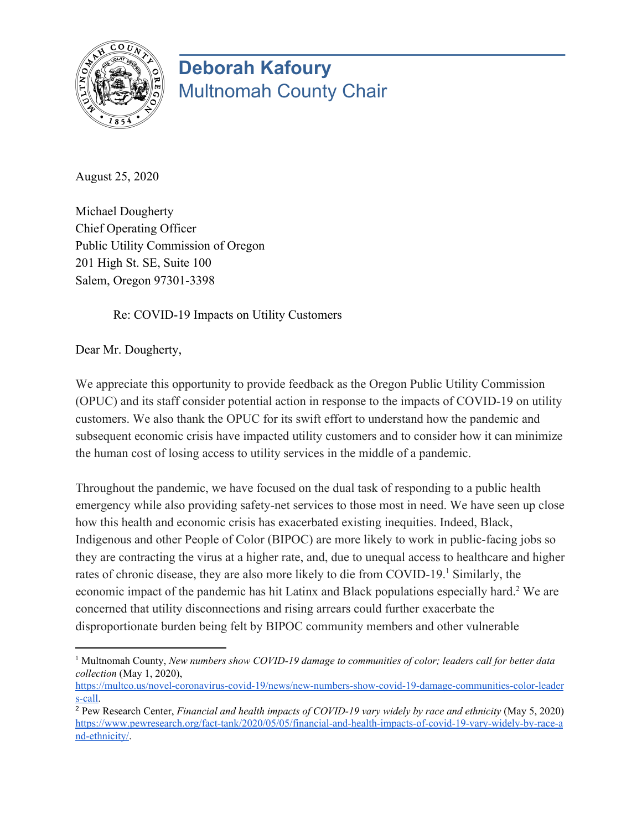

## **Deborah Kafoury** Multnomah County Chair

August 25, 2020

Michael Dougherty Chief Operating Officer Public Utility Commission of Oregon 201 High St. SE, Suite 100 Salem, Oregon 97301-3398

Re: COVID-19 Impacts on Utility Customers

Dear Mr. Dougherty,

We appreciate this opportunity to provide feedback as the Oregon Public Utility Commission (OPUC) and its staff consider potential action in response to the impacts of COVID-19 on utility customers. We also thank the OPUC for its swift effort to understand how the pandemic and subsequent economic crisis have impacted utility customers and to consider how it can minimize the human cost of losing access to utility services in the middle of a pandemic.

Throughout the pandemic, we have focused on the dual task of responding to a public health emergency while also providing safety-net services to those most in need. We have seen up close how this health and economic crisis has exacerbated existing inequities. Indeed, Black, Indigenous and other People of Color (BIPOC) are more likely to work in public-facing jobs so they are contracting the virus at a higher rate, and, due to unequal access to healthcare and higher rates of chronic disease, they are also more likely to die from COVID-19.<sup>1</sup> Similarly, the economic impact of the pandemic has hit Latinx and Black populations especially hard.<sup>2</sup> We are concerned that utility disconnections and rising arrears could further exacerbate the disproportionate burden being felt by BIPOC community members and other vulnerable

<sup>1</sup> Multnomah County, *New numbers show COVID-19 damage to communities of color; leaders call for better data collection* (May 1, 2020),

[https://multco.us/novel-coronavirus-covid-19/news/new-numbers-show-covid-19-damage-communities-color-leader](https://multco.us/novel-coronavirus-covid-19/news/new-numbers-show-covid-19-damage-communities-color-leaders-call) [s-call.](https://multco.us/novel-coronavirus-covid-19/news/new-numbers-show-covid-19-damage-communities-color-leaders-call)

<sup>2</sup> Pew Research Center, *Financial and health impacts of COVID-19 vary widely by race and ethnicity* (May 5, 2020) [https://www.pewresearch.org/fact-tank/2020/05/05/financial-and-health-impacts-of-covid-19-vary-widely-by-race-a](https://www.pewresearch.org/fact-tank/2020/05/05/financial-and-health-impacts-of-covid-19-vary-widely-by-race-and-ethnicity/) [nd-ethnicity/](https://www.pewresearch.org/fact-tank/2020/05/05/financial-and-health-impacts-of-covid-19-vary-widely-by-race-and-ethnicity/).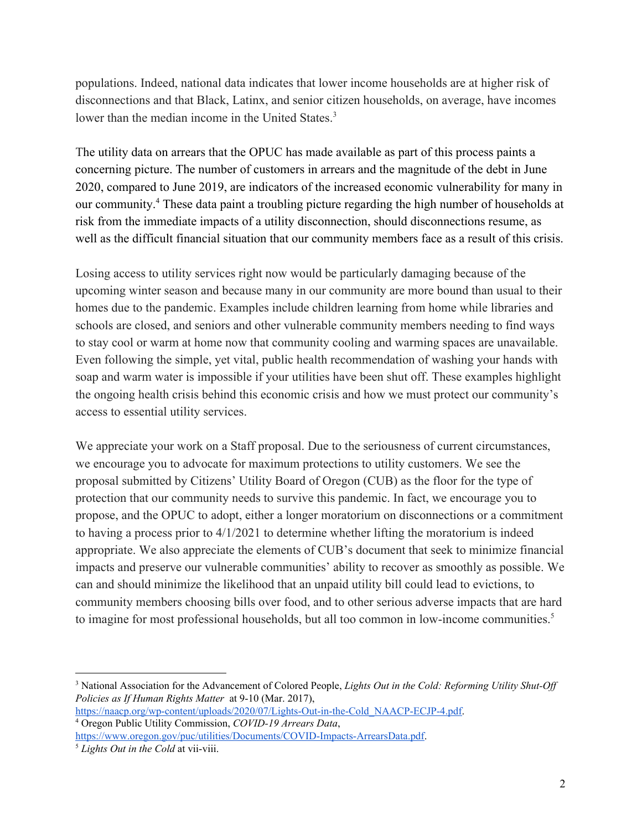populations. Indeed, national data indicates that lower income households are at higher risk of disconnections and that Black, Latinx, and senior citizen households, on average, have incomes lower than the median income in the United States.<sup>3</sup>

The utility data on arrears that the OPUC has made available as part of this process paints a concerning picture. The number of customers in arrears and the magnitude of the debt in June 2020, compared to June 2019, are indicators of the increased economic vulnerability for many in our community.<sup>4</sup> These data paint a troubling picture regarding the high number of households at risk from the immediate impacts of a utility disconnection, should disconnections resume, as well as the difficult financial situation that our community members face as a result of this crisis.

Losing access to utility services right now would be particularly damaging because of the upcoming winter season and because many in our community are more bound than usual to their homes due to the pandemic. Examples include children learning from home while libraries and schools are closed, and seniors and other vulnerable community members needing to find ways to stay cool or warm at home now that community cooling and warming spaces are unavailable. Even following the simple, yet vital, public health recommendation of washing your hands with soap and warm water is impossible if your utilities have been shut off. These examples highlight the ongoing health crisis behind this economic crisis and how we must protect our community's access to essential utility services.

We appreciate your work on a Staff proposal. Due to the seriousness of current circumstances, we encourage you to advocate for maximum protections to utility customers. We see the proposal submitted by Citizens' Utility Board of Oregon (CUB) as the floor for the type of protection that our community needs to survive this pandemic. In fact, we encourage you to propose, and the OPUC to adopt, either a longer moratorium on disconnections or a commitment to having a process prior to 4/1/2021 to determine whether lifting the moratorium is indeed appropriate. We also appreciate the elements of CUB's document that seek to minimize financial impacts and preserve our vulnerable communities' ability to recover as smoothly as possible. We can and should minimize the likelihood that an unpaid utility bill could lead to evictions, to community members choosing bills over food, and to other serious adverse impacts that are hard to imagine for most professional households, but all too common in low-income communities.<sup>5</sup>

<sup>3</sup> National Association for the Advancement of Colored People, *Lights Out in the Cold: Reforming Utility Shut-Of Policies as If Human Rights Matter* at 9-10 (Mar. 2017),

[https://naacp.org/wp-content/uploads/2020/07/Lights-Out-in-the-Cold\\_NAACP-ECJP-4.pdf.](https://naacp.org/wp-content/uploads/2020/07/Lights-Out-in-the-Cold_NAACP-ECJP-4.pdf) <sup>4</sup> Oregon Public Utility Commission, *COVID-19 Arrears Data*,

[https://www.oregon.gov/puc/utilities/Documents/COVID-Impacts-ArrearsData.pdf.](https://www.oregon.gov/puc/utilities/Documents/COVID-Impacts-ArrearsData.pdf) <sup>5</sup> *Lights Out in the Cold* at vii-viii.